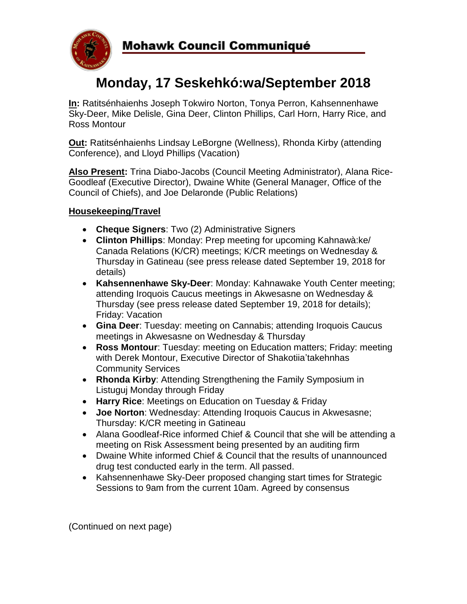

# **Monday, 17 Seskehkó:wa/September 2018**

**In:** Ratitsénhaienhs Joseph Tokwiro Norton, Tonya Perron, Kahsennenhawe Sky-Deer, Mike Delisle, Gina Deer, Clinton Phillips, Carl Horn, Harry Rice, and Ross Montour

**Out:** Ratitsénhaienhs Lindsay LeBorgne (Wellness), Rhonda Kirby (attending Conference), and Lloyd Phillips (Vacation)

**Also Present:** Trina Diabo-Jacobs (Council Meeting Administrator), Alana Rice-Goodleaf (Executive Director), Dwaine White (General Manager, Office of the Council of Chiefs), and Joe Delaronde (Public Relations)

## **Housekeeping/Travel**

- **Cheque Signers**: Two (2) Administrative Signers
- **Clinton Phillips**: Monday: Prep meeting for upcoming Kahnawà:ke/ Canada Relations (K/CR) meetings; K/CR meetings on Wednesday & Thursday in Gatineau (see press release dated September 19, 2018 for details)
- **Kahsennenhawe Sky-Deer**: Monday: Kahnawake Youth Center meeting; attending Iroquois Caucus meetings in Akwesasne on Wednesday & Thursday (see press release dated September 19, 2018 for details); Friday: Vacation
- **Gina Deer**: Tuesday: meeting on Cannabis; attending Iroquois Caucus meetings in Akwesasne on Wednesday & Thursday
- **Ross Montour**: Tuesday: meeting on Education matters; Friday: meeting with Derek Montour, Executive Director of Shakotiia'takehnhas Community Services
- **Rhonda Kirby**: Attending Strengthening the Family Symposium in Listuguj Monday through Friday
- **Harry Rice**: Meetings on Education on Tuesday & Friday
- **Joe Norton**: Wednesday: Attending Iroquois Caucus in Akwesasne; Thursday: K/CR meeting in Gatineau
- Alana Goodleaf-Rice informed Chief & Council that she will be attending a meeting on Risk Assessment being presented by an auditing firm
- Dwaine White informed Chief & Council that the results of unannounced drug test conducted early in the term. All passed.
- Kahsennenhawe Sky-Deer proposed changing start times for Strategic Sessions to 9am from the current 10am. Agreed by consensus

(Continued on next page)